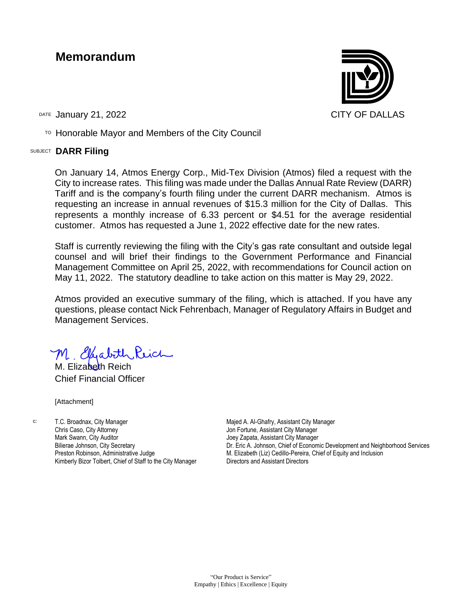### **Memorandum**

DATE January 21, 2022 **CITY OF DALLAS** 

 $T$ <sup>O</sup> Honorable Mayor and Members of the City Council

### SUBJECT **DARR Filing**

On January 14, Atmos Energy Corp., Mid-Tex Division (Atmos) filed a request with the City to increase rates. This filing was made under the Dallas Annual Rate Review (DARR) Tariff and is the company's fourth filing under the current DARR mechanism. Atmos is requesting an increase in annual revenues of \$15.3 million for the City of Dallas. This represents a monthly increase of 6.33 percent or \$4.51 for the average residential customer. Atmos has requested a June 1, 2022 effective date for the new rates.

Staff is currently reviewing the filing with the City's gas rate consultant and outside legal counsel and will brief their findings to the Government Performance and Financial Management Committee on April 25, 2022, with recommendations for Council action on May 11, 2022. The statutory deadline to take action on this matter is May 29, 2022.

Atmos provided an executive summary of the filing, which is attached. If you have any questions, please contact Nick Fehrenbach, Manager of Regulatory Affairs in Budget and Management Services.

M. Elisabeth Reich

M. Elizabeth Reich Chief Financial Officer

[Attachment]

c: T.C. Broadnax, City Manager Chris Caso, City Attorney Mark Swann, City Auditor Bilierae Johnson, City Secretary Preston Robinson, Administrative Judge Kimberly Bizor Tolbert, Chief of Staff to the City Manager Majed A. Al-Ghafry, Assistant City Manager Jon Fortune, Assistant City Manager Joey Zapata, Assistant City Manager Dr. Eric A. Johnson, Chief of Economic Development and Neighborhood Services M. Elizabeth (Liz) Cedillo-Pereira, Chief of Equity and Inclusion Directors and Assistant Directors

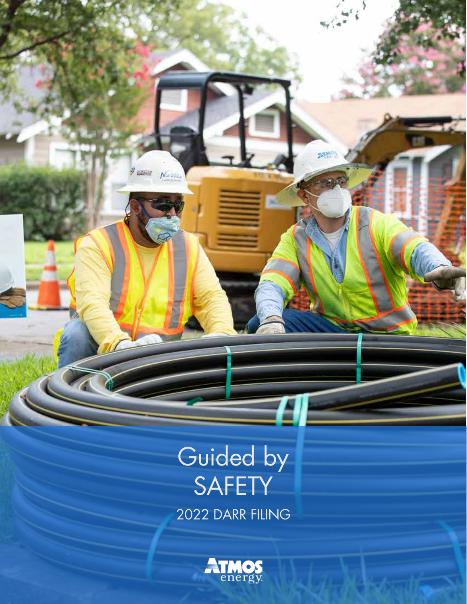### 2022 DARR FILING Guided by SAFETY

 $\theta = 1$ 

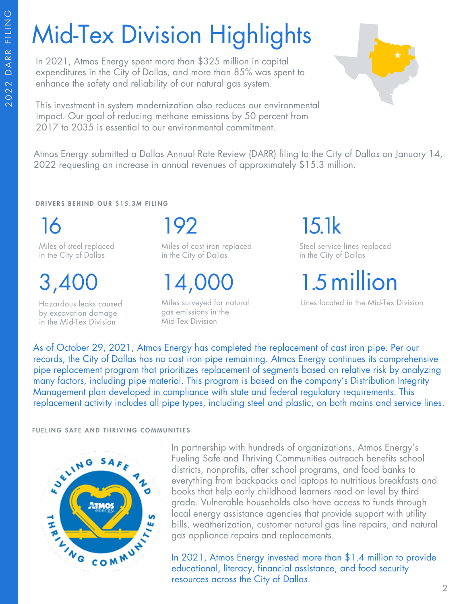# Mid-Tex Division Highlights

In 2021, Atmos Energy spent more than \$325 million in capital expenditures in the City of Dallas, and more than 85% was spent to enhance the safety and reliability of our natural gas system.

This investment in system modernization also reduces our environmental impact. Our goal of reducing methane emissions by 50 percent from 2017 to 2035 is essential to our environmental commitment.



Atmos Energy submitted a Dallas Annual Rate Review (DARR) filing to the City of Dallas on January 14, 2022 requesting an increase in annual revenues of approximately \$15.3 million.

DRIVERS BEHIND OUR \$15.3M FILING

16 Miles of steel replaced

in the City of Dallas

3,400

Hazardous leaks caused by excavation damage in the Mid-Tex Division

192

Miles of cast iron replaced in the City of Dallas

14,000

Miles surveyed for natural gas emissions in the Mid-Tex Division

15.1k

Steel service lines replaced in the City of Dallas

1.5 million

Lines located in the Mid-Tex Division

As of October 29, 2021, Atmos Energy has completed the replacement of cast iron pipe. Per our records, the City of Dallas has no cast iron pipe remaining. Atmos Energy continues its comprehensive pipe replacement program that prioritizes replacement of segments based on relative risk by analyzing many factors, including pipe material. This program is based on the company's Distribution Integrity Management plan developed in compliance with state and federal regulatory requirements. This replacement activity includes all pipe types, including steel and plastic, on both mains and service lines.

### FUELING SAFE AND THRIVING COMMUNITIES



In partnership with hundreds of organizations, Atmos Energy's Fueling Safe and Thriving Communities outreach benefits school districts, nonprofits, after school programs, and food banks to everything from backpacks and laptops to nutritious breakfasts and books that help early childhood learners read on level by third grade. Vulnerable households also have access to funds through local energy assistance agencies that provide support with utility bills, weatherization, customer natural gas line repairs, and natural gas appliance repairs and replacements.

In 2021, Atmos Energy invested more than \$1.4 million to provide educational, literacy, financial assistance, and food security resources across the City of Dallas.